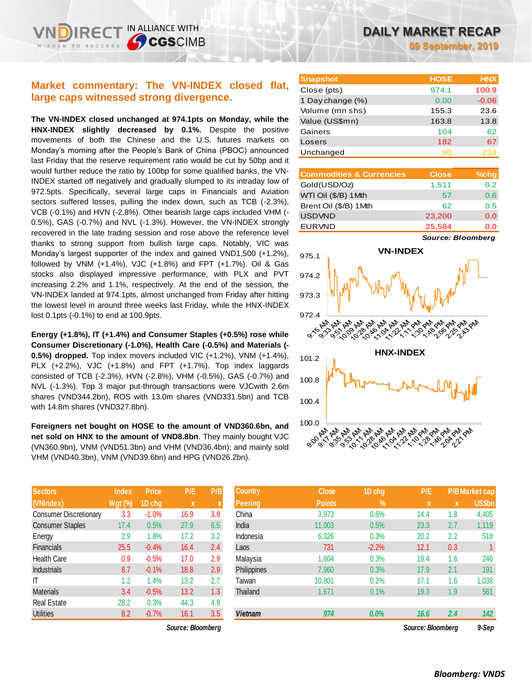IN ALLIANCE WITH

**CGSCIMB** 

**The VN-INDEX closed unchanged at 974.1pts on Monday, while the HNX-INDEX slightly decreased by 0.1%.** Despite the positive movements of both the Chinese and the U.S. futures markets on Monday's morning after the People's Bank of China (PBOC) announced last Friday that the reserve requirement ratio would be cut by 50bp and it would further reduce the ratio by 100bp for some qualified banks, the VN-INDEX started off negatively and gradually slumped to its intraday low of 972.5pts. Specifically, several large caps in Financials and Aviation sectors suffered losses, pulling the index down, such as TCB (-2.3%), VCB (-0.1%) and HVN (-2.8%). Other bearish large caps included VHM (- 0.5%), GAS (-0.7%) and NVL (-1.3%). However, the VN-INDEX strongly recovered in the late trading session and rose above the reference level thanks to strong support from bullish large caps. Notably, VIC was Monday's largest supporter of the index and gained VND1,500 (+1.2%), followed by VNM (+1.4%), VJC (+1.8%) and FPT (+1.7%). Oil & Gas stocks also displayed impressive performance, with PLX and PVT increasing 2.2% and 1.1%, respectively. At the end of the session, the VN-INDEX landed at 974.1pts, almost unchanged from Friday after hitting the lowest level in around three weeks last Friday, while the HNX-INDEX lost 0.1pts (-0.1%) to end at 100.9pts.

**Energy (+1.8%), IT (+1.4%) and Consumer Staples (+0.5%) rose while Consumer Discretionary (-1.0%), Health Care (-0.5%) and Materials (- 0.5%) dropped.** Top index movers included VIC (+1.2%), VNM (+1.4%), PLX (+2.2%), VJC (+1.8%) and FPT (+1.7%). Top index laggards consisted of TCB (-2.3%), HVN (-2.8%), VHM (-0.5%), GAS (-0.7%) and NVL (-1.3%). Top 3 major put-through transactions were VJCwith 2.6m shares (VND344.2bn), ROS with 13.0m shares (VND331.5bn) and TCB with 14.8m shares (VND327.8bn).

**Foreigners net bought on HOSE to the amount of VND360.6bn, and net sold on HNX to the amount of VND8.8bn**. They mainly bought VJC (VN360.9bn), VNM (VND51.3bn) and VHM (VND36.4bn); and mainly sold VHM (VND40.3bn), VNM (VND39.6bn) and HPG (VND26.2bn).

| <b>Sectors</b>                | <b>Index</b> | Price   | P/E  | P/B |
|-------------------------------|--------------|---------|------|-----|
| (VNIndex)                     | Wgt (%)      | 1D chg  | X    | X   |
| <b>Consumer Discretionary</b> | 3.3          | $-1.0%$ | 16.9 | 3.9 |
| <b>Consumer Staples</b>       | 17.4         | 0.5%    | 27.9 | 6.5 |
| Energy                        | 2.9          | 1.8%    | 17.2 | 3.2 |
| <b>Financials</b>             | 25.5         | $-0.4%$ | 16.4 | 2.4 |
| <b>Health Care</b>            | 0.9          | $-0.5%$ | 17.0 | 2.9 |
| <b>Industrials</b>            | 8.7          | $-0.1%$ | 18.8 | 2.9 |
| ıτ                            | 1.2          | 1.4%    | 13.2 | 2.7 |
| <b>Materials</b>              | 3.4          | $-0.5%$ | 13.2 | 1.3 |
| <b>Real Estate</b>            | 28.2         | 0.3%    | 44.3 | 4.9 |
| Utilities                     | 8.2          | $-0.7%$ | 16.1 | 3.5 |

 $Source: Bloomberg$ 

**09 September, 2019**

| <b>Snapshot</b>  | <b>HOSE</b> | <b>HNX</b> |
|------------------|-------------|------------|
| Close (pts)      | 974.1       | 100.9      |
| 1 Day change (%) | 0.00        | $-0.06$    |
| Volume (mn shs)  | 155.3       | 23.6       |
| Value (US\$mn)   | 163.8       | 13.8       |
| Gainers          | 104         | 62         |
| Losers           | 182         | 67         |
| Unchanged        | 90          | 234        |

| <b>Commodities &amp; Currencies</b> | <b>Close</b> | $%$ chg |
|-------------------------------------|--------------|---------|
| Gold(USD/Oz)                        | 1,511        | 0.2     |
| WTI Oil (\$/B) 1Mth                 | 57           | 0.6     |
| Brent Oil (\$/B) 1 Mth              | 62           | 0.5     |
| <b>USDVND</b>                       | 23,200       | 0.0     |
| <b>EURVND</b>                       | 25,584       | 0.O     |

*Source: Bloomberg*



| <b>Sectors</b>                | <b>Index</b>   | <b>Price</b> | P/E               | P/B              | <b>Country</b>     | <b>Close</b>  | 1D chg        | P/E               |     | <b>P/B Market cap</b> |
|-------------------------------|----------------|--------------|-------------------|------------------|--------------------|---------------|---------------|-------------------|-----|-----------------------|
| (VNIndex)                     | <b>Wgt (%)</b> | 1D chg       | $\mathbf{x}$      | X                | <b>Peering</b>     | <b>Points</b> | $\frac{9}{6}$ | X                 | X   | <b>US\$bn</b>         |
| <b>Consumer Discretionary</b> | 3.3            | $-1.0%$      | 16.9              | 3.9              | China              | 3,973         | 0.6%          | 14.4              | 1.8 | 4,405                 |
| <b>Consumer Staples</b>       | 17.4           | 0.5%         | 27.9              | 6.5              | India              | 11,003        | 0.5%          | 23.3              | 2.7 | 1,119                 |
| Energy                        | 2.9            | $1.8\%$      | 17.2              | 3.2              | Indonesia          | 6,326         | 0.3%          | 20.2              | 2.2 | 518                   |
| <b>Financials</b>             | 25.5           | $-0.4%$      | 16.4              | 2.4              | Laos               | 731           | $-2.2%$       | 12.1              | 0.3 |                       |
| Health Care                   | 0.9            | $-0.5%$      | 17.0              | 2.9              | Malaysia           | 1,604         | 0.3%          | 19.4              | 1.6 | 246                   |
| <b>Industrials</b>            | 8.7            | $-0.1%$      | 18.8              | 2.9              | <b>Philippines</b> | 7,960         | 0.3%          | 17.9              | 2.1 | 191                   |
|                               | 1.2            | 1.4%         | 13.2              | 2.7              | Taiwan             | 10,801        | 0.2%          | 17.1              | 1.6 | 1,038                 |
| Materials                     | 3.4            | $-0.5%$      | 13.2              | 1.3 <sup>°</sup> | Thailand           | 1,671         | 0.1%          | 19.3              | 1.9 | 561                   |
| Real Estate                   | 28.2           | 0.3%         | 44.3              | 4.9              |                    |               |               |                   |     |                       |
| Utilities                     | 8.2            | $-0.7%$      | 16.1              | 3.5              | <b>Vietnam</b>     | 974           | $0.0\%$       | 16.6              | 2.4 | 142                   |
|                               |                |              | Source: Bloomberg |                  |                    |               |               | Source: Bloombera |     | 9-Sep                 |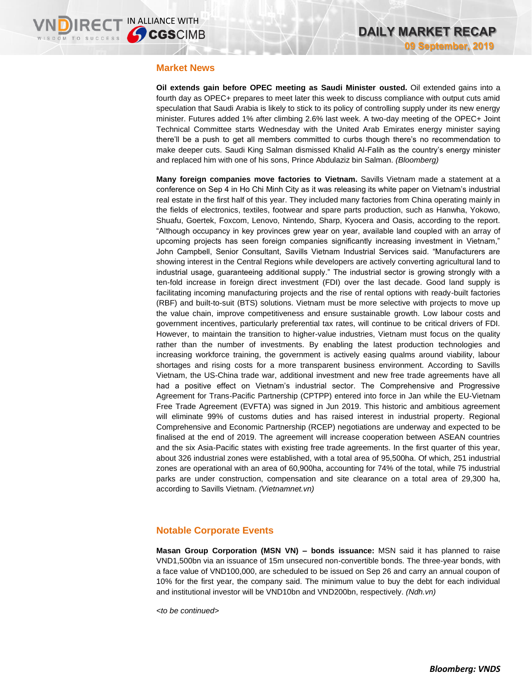### **Market News**

**Oil extends gain before OPEC meeting as Saudi Minister ousted.** Oil extended gains into a fourth day as OPEC+ prepares to meet later this week to discuss compliance with output cuts amid speculation that Saudi Arabia is likely to stick to its policy of controlling supply under its new energy minister. Futures added 1% after climbing 2.6% last week. A two-day meeting of the OPEC+ Joint Technical Committee starts Wednesday with the United Arab Emirates energy minister saying there'll be a push to get all members committed to curbs though there's no recommendation to make deeper cuts. Saudi King Salman dismissed Khalid Al-Falih as the country's energy minister and replaced him with one of his sons, Prince Abdulaziz bin Salman. *(Bloomberg)*

**Many foreign companies move factories to Vietnam.** Savills Vietnam made a statement at a conference on Sep 4 in Ho Chi Minh City as it was releasing its white paper on Vietnam's industrial real estate in the first half of this year. They included many factories from China operating mainly in the fields of electronics, textiles, footwear and spare parts production, such as Hanwha, Yokowo, Shuafu, Goertek, Foxcom, Lenovo, Nintendo, Sharp, Kyocera and Oasis, according to the report. "Although occupancy in key provinces grew year on year, available land coupled with an array of upcoming projects has seen foreign companies significantly increasing investment in Vietnam," John Campbell, Senior Consultant, Savills Vietnam Industrial Services said. "Manufacturers are showing interest in the Central Regions while developers are actively converting agricultural land to industrial usage, guaranteeing additional supply." The industrial sector is growing strongly with a ten-fold increase in foreign direct investment (FDI) over the last decade. Good land supply is facilitating incoming manufacturing projects and the rise of rental options with ready-built factories (RBF) and built-to-suit (BTS) solutions. Vietnam must be more selective with projects to move up the value chain, improve competitiveness and ensure sustainable growth. Low labour costs and government incentives, particularly preferential tax rates, will continue to be critical drivers of FDI. However, to maintain the transition to higher-value industries, Vietnam must focus on the quality rather than the number of investments. By enabling the latest production technologies and increasing workforce training, the government is actively easing qualms around viability, labour shortages and rising costs for a more transparent business environment. According to Savills Vietnam, the US-China trade war, additional investment and new free trade agreements have all had a positive effect on Vietnam's industrial sector. The Comprehensive and Progressive Agreement for Trans-Pacific Partnership (CPTPP) entered into force in Jan while the EU-Vietnam Free Trade Agreement (EVFTA) was signed in Jun 2019. This historic and ambitious agreement will eliminate 99% of customs duties and has raised interest in industrial property. Regional Comprehensive and Economic Partnership (RCEP) negotiations are underway and expected to be finalised at the end of 2019. The agreement will increase cooperation between ASEAN countries and the six Asia-Pacific states with existing free trade agreements. In the first quarter of this year, about 326 industrial zones were established, with a total area of 95,500ha. Of which, 251 industrial zones are operational with an area of 60,900ha, accounting for 74% of the total, while 75 industrial parks are under construction, compensation and site clearance on a total area of 29,300 ha, according to Savills Vietnam. *(Vietnamnet.vn)*

## **Notable Corporate Events**

**Masan Group Corporation (MSN VN) – bonds issuance:** MSN said it has planned to raise VND1,500bn via an issuance of 15m unsecured non-convertible bonds. The three-year bonds, with a face value of VND100,000, are scheduled to be issued on Sep 26 and carry an annual coupon of 10% for the first year, the company said. The minimum value to buy the debt for each individual and institutional investor will be VND10bn and VND200bn, respectively. *(Ndh.vn)*

*<to be continued>*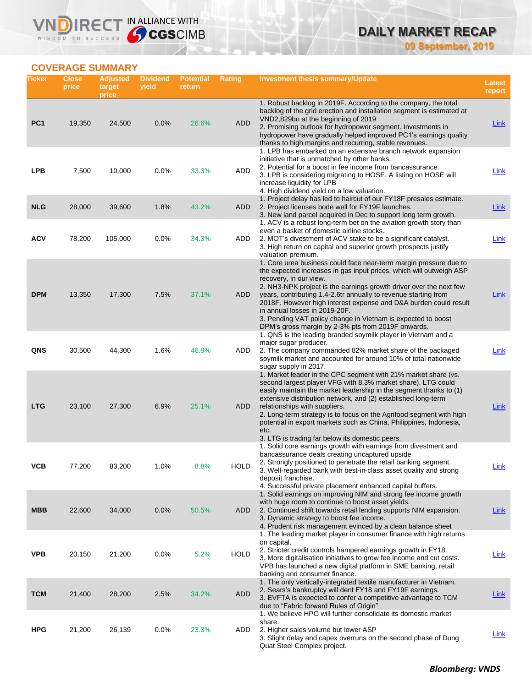**09 September, 2019**

## **COVERAGE SUMMARY**

WISDOM TO SUCCESS

VND

IRECT IN ALLIANCE WITH

| Ticker          | <b>Close</b><br>price | <b>Adjusted</b><br>target<br>price | <b>Dividend</b><br>yield | <b>Potential</b><br>return | Rating      | <b>Investment thesis summary/Update</b>                                                                                                                                                                                                                                                                                                                                                                                                                                                                                                | <b>Latest</b><br>report |
|-----------------|-----------------------|------------------------------------|--------------------------|----------------------------|-------------|----------------------------------------------------------------------------------------------------------------------------------------------------------------------------------------------------------------------------------------------------------------------------------------------------------------------------------------------------------------------------------------------------------------------------------------------------------------------------------------------------------------------------------------|-------------------------|
| PC <sub>1</sub> | 19,350                | 24,500                             | 0.0%                     | 26.6%                      | <b>ADD</b>  | 1. Robust backlog in 2019F. According to the company, the total<br>backlog of the grid erection and installation segment is estimated at<br>VND2,829bn at the beginning of 2019<br>2. Promising outlook for hydropower segment. Investments in<br>hydropower have gradually helped improved PC1's earnings quality                                                                                                                                                                                                                     | <b>Link</b>             |
| <b>LPB</b>      | 7,500                 | 10,000                             | $0.0\%$                  | 33.3%                      | ADD         | thanks to high margins and recurring, stable revenues.<br>1. LPB has embarked on an extensive branch network expansion<br>initiative that is unmatched by other banks.<br>2. Potential for a boost in fee income from bancassurance.<br>3. LPB is considering migrating to HOSE. A listing on HOSE will<br>increase liquidity for LPB                                                                                                                                                                                                  | Link                    |
| <b>NLG</b>      | 28,000                | 39,600                             | 1.8%                     | 43.2%                      | ADD         | 4. High dividend yield on a low valuation.<br>1. Project delay has led to haircut of our FY18F presales estimate.<br>2. Project licenses bode well for FY19F launches.<br>3. New land parcel acquired in Dec to support long term growth.                                                                                                                                                                                                                                                                                              | Link                    |
| <b>ACV</b>      | 78,200                | 105,000                            | 0.0%                     | 34.3%                      | ADD         | 1. ACV is a robust long-term bet on the aviation growth story than<br>even a basket of domestic airline stocks.<br>2. MOT's divestment of ACV stake to be a significant catalyst.<br>3. High return on capital and superior growth prospects justify<br>valuation premium.                                                                                                                                                                                                                                                             | <b>Link</b>             |
| <b>DPM</b>      | 13,350                | 17,300                             | 7.5%                     | 37.1%                      | ADD         | 1. Core urea business could face near-term margin pressure due to<br>the expected increases in gas input prices, which will outweigh ASP<br>recovery, in our view.<br>2. NH3-NPK project is the earnings growth driver over the next few<br>years, contributing 1.4-2.6tr annually to revenue starting from<br>2018F. However high interest expense and D&A burden could result<br>in annual losses in 2019-20F.<br>3. Pending VAT policy change in Vietnam is expected to boost<br>DPM's gross margin by 2-3% pts from 2019F onwards. | Link                    |
| QNS             | 30,500                | 44,300                             | 1.6%                     | 46.9%                      | ADD         | 1. QNS is the leading branded soymilk player in Vietnam and a<br>major sugar producer.<br>2. The company commanded 82% market share of the packaged<br>soymilk market and accounted for around 10% of total nationwide<br>sugar supply in 2017.                                                                                                                                                                                                                                                                                        | Link                    |
| <b>LTG</b>      | 23,100                | 27,300                             | 6.9%                     | 25.1%                      | ADD         | 1. Market leader in the CPC segment with 21% market share (vs.<br>second largest player VFG with 8.3% market share). LTG could<br>easily maintain the market leadership in the segment thanks to (1)<br>extensive distribution network, and (2) established long-term<br>relationships with suppliers.<br>2. Long-term strategy is to focus on the Agrifood segment with high<br>potential in export markets such as China, Philippines, Indonesia,<br>etc.<br>3. LTG is trading far below its domestic peers.                         | Link                    |
| ۷СВ             | 77,200                | 83,200                             | 1.0%                     | 8.8%                       | <b>HOLD</b> | 1. Solid core earnings growth with earnings from divestment and<br>bancassurance deals creating uncaptured upside<br>2. Strongly positioned to penetrate the retail banking segment.<br>3. Well-regarded bank with best-in-class asset quality and strong<br>deposit franchise.<br>4. Successful private placement enhanced capital buffers.                                                                                                                                                                                           | <u>Link</u>             |
| <b>MBB</b>      | 22,600                | 34,000                             | 0.0%                     | 50.5%                      | ADD         | 1. Solid earnings on improving NIM and strong fee income growth<br>with huge room to continue to boost asset yields.<br>2. Continued shift towards retail lending supports NIM expansion.<br>3. Dynamic strategy to boost fee income.<br>4. Prudent risk management evinced by a clean balance sheet                                                                                                                                                                                                                                   | <u>Link</u>             |
| <b>VPB</b>      | 20,150                | 21,200                             | 0.0%                     | 5.2%                       | <b>HOLD</b> | 1. The leading market player in consumer finance with high returns<br>on capital.<br>2. Stricter credit controls hampered earnings growth in FY18.<br>3. More digitalisation initiatives to grow fee income and cut costs.<br>VPB has launched a new digital platform in SME banking, retail<br>banking and consumer finance.                                                                                                                                                                                                          | <b>Link</b>             |
| <b>TCM</b>      | 21,400                | 28,200                             | 2.5%                     | 34.2%                      | <b>ADD</b>  | 1. The only vertically-integrated textile manufacturer in Vietnam.<br>2. Sears's bankruptcy will dent FY18 and FY19F earnings.<br>3. EVFTA is expected to confer a competitive advantage to TCM<br>due to "Fabric forward Rules of Origin"                                                                                                                                                                                                                                                                                             | <b>Link</b>             |
| <b>HPG</b>      | 21,200                | 26,139                             | 0.0%                     | 23.3%                      | ADD         | 1. We believe HPG will further consolidate its domestic market<br>share.<br>2. Higher sales volume but lower ASP<br>3. Slight delay and capex overruns on the second phase of Dung<br>Quat Steel Complex project.                                                                                                                                                                                                                                                                                                                      | <b>Link</b>             |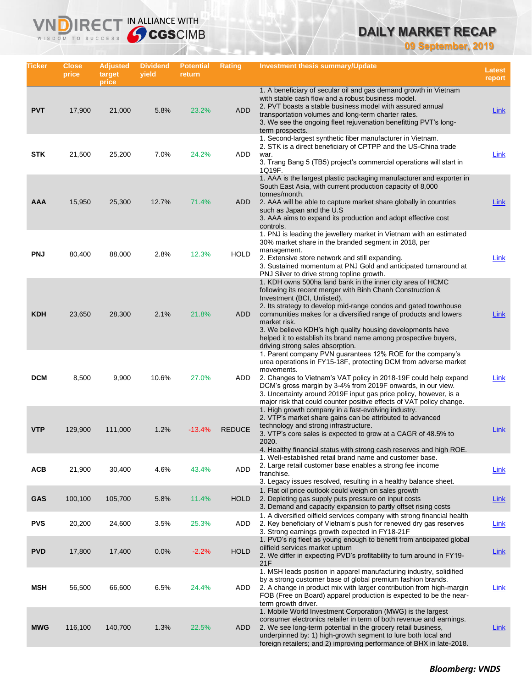**09 September, 2019**

| Ticker     | Close<br>price | <b>Adjusted</b><br>target<br>price | <b>Dividend</b><br>yield | <b>Potential</b><br>return | Rating        | Investment thesis summary/Update                                                                                                                                                                                                                                                                                                                                                                                                                                                    | Latest<br>report |
|------------|----------------|------------------------------------|--------------------------|----------------------------|---------------|-------------------------------------------------------------------------------------------------------------------------------------------------------------------------------------------------------------------------------------------------------------------------------------------------------------------------------------------------------------------------------------------------------------------------------------------------------------------------------------|------------------|
| <b>PVT</b> | 17,900         | 21,000                             | 5.8%                     | 23.2%                      | <b>ADD</b>    | 1. A beneficiary of secular oil and gas demand growth in Vietnam<br>with stable cash flow and a robust business model.<br>2. PVT boasts a stable business model with assured annual<br>transportation volumes and long-term charter rates.<br>3. We see the ongoing fleet rejuvenation benefitting PVT's long-<br>term prospects.                                                                                                                                                   | Link             |
| <b>STK</b> | 21,500         | 25,200                             | 7.0%                     | 24.2%                      | ADD           | 1. Second-largest synthetic fiber manufacturer in Vietnam.<br>2. STK is a direct beneficiary of CPTPP and the US-China trade<br>war.<br>3. Trang Bang 5 (TB5) project's commercial operations will start in<br>1Q19F.                                                                                                                                                                                                                                                               | Link             |
| AAA        | 15,950         | 25,300                             | 12.7%                    | 71.4%                      | <b>ADD</b>    | 1. AAA is the largest plastic packaging manufacturer and exporter in<br>South East Asia, with current production capacity of 8,000<br>tonnes/month.<br>2. AAA will be able to capture market share globally in countries<br>such as Japan and the U.S.<br>3. AAA aims to expand its production and adopt effective cost<br>controls.                                                                                                                                                | Link             |
| <b>PNJ</b> | 80,400         | 88,000                             | 2.8%                     | 12.3%                      | <b>HOLD</b>   | 1. PNJ is leading the jewellery market in Vietnam with an estimated<br>30% market share in the branded segment in 2018, per<br>management.<br>2. Extensive store network and still expanding.<br>3. Sustained momentum at PNJ Gold and anticipated turnaround at<br>PNJ Silver to drive strong topline growth.                                                                                                                                                                      | <b>Link</b>      |
| <b>KDH</b> | 23,650         | 28,300                             | 2.1%                     | 21.8%                      | <b>ADD</b>    | 1. KDH owns 500ha land bank in the inner city area of HCMC<br>following its recent merger with Binh Chanh Construction &<br>Investment (BCI, Unlisted).<br>2. Its strategy to develop mid-range condos and gated townhouse<br>communities makes for a diversified range of products and lowers<br>market risk.<br>3. We believe KDH's high quality housing developments have<br>helped it to establish its brand name among prospective buyers,<br>driving strong sales absorption. | Link             |
| <b>DCM</b> | 8,500          | 9,900                              | 10.6%                    | 27.0%                      | ADD           | 1. Parent company PVN guarantees 12% ROE for the company's<br>urea operations in FY15-18F, protecting DCM from adverse market<br>movements.<br>2. Changes to Vietnam's VAT policy in 2018-19F could help expand<br>DCM's gross margin by 3-4% from 2019F onwards, in our view.<br>3. Uncertainty around 2019F input gas price policy, however, is a<br>major risk that could counter positive effects of VAT policy change.                                                         | Link             |
| <b>VTP</b> | 129,900        | 111,000                            | 1.2%                     | $-13.4%$                   | <b>REDUCE</b> | 1. High growth company in a fast-evolving industry.<br>2. VTP's market share gains can be attributed to advanced<br>technology and strong infrastructure.<br>3. VTP's core sales is expected to grow at a CAGR of 48.5% to<br>2020.<br>4. Healthy financial status with strong cash reserves and high ROE.                                                                                                                                                                          | Link             |
| <b>ACB</b> | 21,900         | 30,400                             | 4.6%                     | 43.4%                      | ADD           | 1. Well-established retail brand name and customer base.<br>2. Large retail customer base enables a strong fee income<br>franchise.<br>3. Legacy issues resolved, resulting in a healthy balance sheet.                                                                                                                                                                                                                                                                             | <b>Link</b>      |
| <b>GAS</b> | 100,100        | 105,700                            | 5.8%                     | 11.4%                      | <b>HOLD</b>   | 1. Flat oil price outlook could weigh on sales growth<br>2. Depleting gas supply puts pressure on input costs<br>3. Demand and capacity expansion to partly offset rising costs                                                                                                                                                                                                                                                                                                     | Link             |
| <b>PVS</b> | 20,200         | 24,600                             | 3.5%                     | 25.3%                      | ADD           | 1. A diversified oilfield services company with strong financial health<br>2. Key beneficiary of Vietnam's push for renewed dry gas reserves<br>3. Strong earnings growth expected in FY18-21F                                                                                                                                                                                                                                                                                      | Link             |
| <b>PVD</b> | 17,800         | 17,400                             | 0.0%                     | $-2.2%$                    | <b>HOLD</b>   | 1. PVD's rig fleet as young enough to benefit from anticipated global<br>oilfield services market upturn<br>2. We differ in expecting PVD's profitability to turn around in FY19-<br>21F                                                                                                                                                                                                                                                                                            | <b>Link</b>      |
| MSH        | 56,500         | 66,600                             | 6.5%                     | 24.4%                      | ADD           | 1. MSH leads position in apparel manufacturing industry, solidified<br>by a strong customer base of global premium fashion brands.<br>2. A change in product mix with larger contribution from high-margin<br>FOB (Free on Board) apparel production is expected to be the near-<br>term growth driver.                                                                                                                                                                             | <b>Link</b>      |
| <b>MWG</b> | 116,100        | 140,700                            | 1.3%                     | 22.5%                      | ADD           | 1. Mobile World Investment Corporation (MWG) is the largest<br>consumer electronics retailer in term of both revenue and earnings.<br>2. We see long-term potential in the grocery retail business,<br>underpinned by: 1) high-growth segment to lure both local and<br>foreign retailers; and 2) improving performance of BHX in late-2018.                                                                                                                                        | <b>Link</b>      |

IRECT IN ALLIANCE WITH

VND

WISDOM TO SUCCESS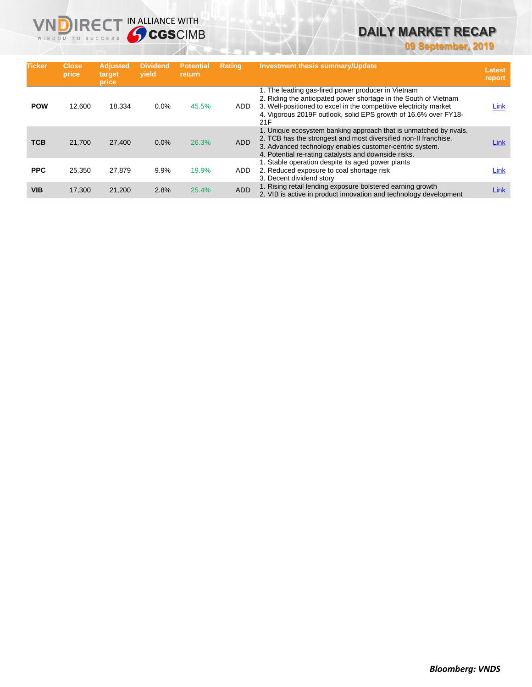**09 September, 2019**

| <b>Ticker</b> | <b>Close</b><br>price | <b>Adjusted</b><br>target<br>price | <b>Dividend</b><br>vield | <b>Potential</b><br>return | <b>Rating</b> | <b>Investment thesis summary/Update</b>                                                                                                                                                                                                                               | <b>Latest</b><br>report |
|---------------|-----------------------|------------------------------------|--------------------------|----------------------------|---------------|-----------------------------------------------------------------------------------------------------------------------------------------------------------------------------------------------------------------------------------------------------------------------|-------------------------|
| <b>POW</b>    | 12,600                | 18,334                             | 0.0%                     | 45.5%                      | ADD           | 1. The leading gas-fired power producer in Vietnam<br>2. Riding the anticipated power shortage in the South of Vietnam<br>3. Well-positioned to excel in the competitive electricity market<br>4. Vigorous 2019F outlook, solid EPS growth of 16.6% over FY18-<br>21F | <u>Link</u>             |
| <b>TCB</b>    | 21.700                | 27,400                             | 0.0%                     | 26.3%                      | ADD           | 1. Unique ecosystem banking approach that is unmatched by rivals.<br>2. TCB has the strongest and most diversified non-II franchise.<br>3. Advanced technology enables customer-centric system.<br>4. Potential re-rating catalysts and downside risks.               | Link                    |
| <b>PPC</b>    | 25,350                | 27.879                             | 9.9%                     | 19.9%                      | <b>ADD</b>    | 1. Stable operation despite its aged power plants<br>2. Reduced exposure to coal shortage risk<br>3. Decent dividend story                                                                                                                                            | Link                    |
| <b>VIB</b>    | 17.300                | 21.200                             | 2.8%                     | 25.4%                      | ADD           | 1. Rising retail lending exposure bolstered earning growth<br>2. VIB is active in product innovation and technology development                                                                                                                                       | <u>Link</u>             |

**VNDIRECT IN ALLIANCE WITH**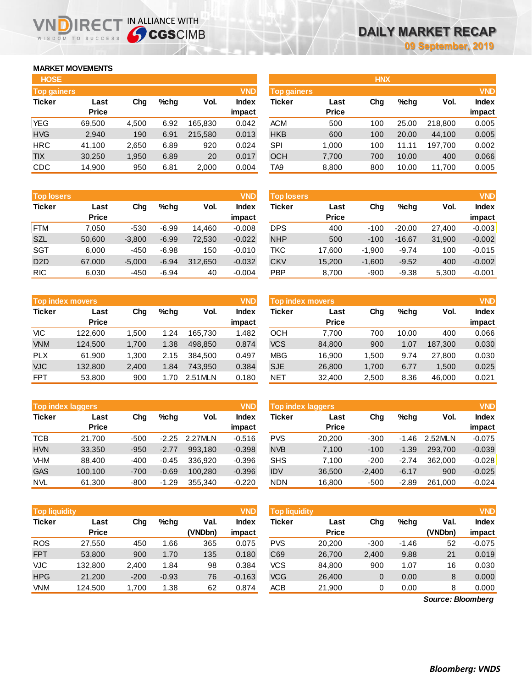## **MARKET MOVEMENTS**

WISDOM TO SUCCESS

| <b>HOSE</b>        |              |       |      |         |              |
|--------------------|--------------|-------|------|---------|--------------|
| <b>Top gainers</b> |              |       |      |         | <b>VND</b>   |
| <b>Ticker</b>      | Last         | Cha   | %chq | Vol.    | <b>Index</b> |
|                    | <b>Price</b> |       |      |         | impact       |
| <b>YEG</b>         | 69,500       | 4,500 | 6.92 | 165,830 | 0.042        |
| <b>HVG</b>         | 2,940        | 190   | 6.91 | 215,580 | 0.013        |
| <b>HRC</b>         | 41,100       | 2,650 | 6.89 | 920     | 0.024        |
| <b>TIX</b>         | 30,250       | 1,950 | 6.89 | 20      | 0.017        |
| <b>CDC</b>         | 14,900       | 950   | 6.81 | 2,000   | 0.004        |

**VNDIRECT IN ALLIANCE WITH** 

| <b>Top gainers</b> |              |       |         |         | VND          | Top gainers |              |     |         |         | <b>VND</b>   |
|--------------------|--------------|-------|---------|---------|--------------|-------------|--------------|-----|---------|---------|--------------|
| Ticker             | Last         | Chg   | $%$ chq | Vol.    | <b>Index</b> | Ticker      | Last         | Chg | $%$ chq | Vol.    | <b>Index</b> |
|                    | <b>Price</b> |       |         |         | impact       |             | <b>Price</b> |     |         |         | impact       |
| YEG                | 69.500       | 4.500 | 6.92    | 165.830 | 0.042        | <b>ACM</b>  | 500          | 100 | 25.00   | 218,800 | 0.005        |
| <b>HVG</b>         | 2,940        | 190   | 6.91    | 215.580 | 0.013        | <b>HKB</b>  | 600          | 100 | 20.00   | 44,100  | 0.005        |
| HRC                | 41.100       | 2.650 | 6.89    | 920     | 0.024        | SPI         | 1.000        | 100 | 11.11   | 197.700 | 0.002        |
| <b>TIX</b>         | 30.250       | 1,950 | 6.89    | 20      | 0.017        | <b>OCH</b>  | 7,700        | 700 | 10.00   | 400     | 0.066        |
| CDC                | 14,900       | 950   | 6.81    | 2,000   | 0.004        | TA9         | 8,800        | 800 | 10.00   | 11,700  | 0.005        |
|                    |              |       |         |         |              |             |              |     |         |         |              |

**HNX**

| <b>Top losers</b> |              |          |         |         | <b>VND</b> | <b>Top losers</b> |              |          |          |        | <b>VND</b>   |
|-------------------|--------------|----------|---------|---------|------------|-------------------|--------------|----------|----------|--------|--------------|
| <b>Ticker</b>     | Last         | Chg      | %cha    | Vol.    | Index      | Ticker            | Last         | Chg      | $%$ chq  | Vol.   | <b>Index</b> |
|                   | <b>Price</b> |          |         |         | impact     |                   | <b>Price</b> |          |          |        | impact       |
| FTM               | 7.050        | $-530$   | $-6.99$ | 14,460  | $-0.008$   | <b>DPS</b>        | 400          | $-100$   | $-20.00$ | 27.400 | $-0.003$     |
| <b>SZL</b>        | 50,600       | $-3,800$ | $-6.99$ | 72,530  | $-0.022$   | <b>NHP</b>        | 500          | $-100$   | $-16.67$ | 31,900 | $-0.002$     |
| <b>SGT</b>        | 6.000        | $-450$   | $-6.98$ | 150     | $-0.010$   | TKC               | 17.600       | $-1.900$ | $-9.74$  | 100    | $-0.015$     |
| D <sub>2</sub> D  | 67,000       | $-5,000$ | $-6.94$ | 312.650 | $-0.032$   | <b>CKV</b>        | 15,200       | $-1,600$ | $-9.52$  | 400    | $-0.002$     |
| <b>RIC</b>        | 6,030        | $-450$   | $-6.94$ | 40      | $-0.004$   | <b>PBP</b>        | 8,700        | $-900$   | $-9.38$  | 5,300  | $-0.001$     |
|                   |              |          |         |         |            |                   |              |          |          |        |              |

|               | Top index movers     |       |         |         | <b>VND</b>      | <b>Top index movers</b> |                      |       |         | <b>VND</b> |                 |
|---------------|----------------------|-------|---------|---------|-----------------|-------------------------|----------------------|-------|---------|------------|-----------------|
| <b>Ticker</b> | Last<br><b>Price</b> | Chg   | $%$ chq | Vol.    | Index<br>impact | Ticker                  | Last<br><b>Price</b> | Chg   | $%$ chq | Vol.       | Index<br>impact |
| VIC           | 122,600              | .500  | 1.24    | 165.730 | 1.482           | OCH                     | 7.700                | 700   | 10.00   | 400        | 0.066           |
| <b>VNM</b>    | 124,500              | 1.700 | 1.38    | 498.850 | 0.874           | <b>VCS</b>              | 84,800               | 900   | 1.07    | 187.300    | 0.030           |
| <b>PLX</b>    | 61.900               | 1.300 | 2.15    | 384.500 | 0.497           | <b>MBG</b>              | 16.900               | 1.500 | 9.74    | 27,800     | 0.030           |
| <b>VJC</b>    | 132,800              | 2,400 | 1.84    | 743.950 | 0.384           | <b>SJE</b>              | 26,800               | 1,700 | 6.77    | 1.500      | 0.025           |
| <b>FPT</b>    | 53,800               | 900   | .70     | 2.51MLN | 0.180           | <b>NET</b>              | 32.400               | 2.500 | 8.36    | 46,000     | 0.021           |

|               | <b>Top index laggers</b> |        |         |         | <b>VND</b>   |
|---------------|--------------------------|--------|---------|---------|--------------|
| <b>Ticker</b> | Last                     | Cha    | %chq    | Vol.    | <b>Index</b> |
|               | <b>Price</b>             |        |         |         | impact       |
| <b>TCB</b>    | 21,700                   | $-500$ | $-2.25$ | 2.27MLN | $-0.516$     |
| <b>HVN</b>    | 33,350                   | $-950$ | $-2.77$ | 993.180 | $-0.398$     |
| VHM           | 88,400                   | $-400$ | $-0.45$ | 336.920 | $-0.396$     |
| <b>GAS</b>    | 100,100                  | $-700$ | $-0.69$ | 100,280 | $-0.396$     |
| <b>NVL</b>    | 61,300                   | $-800$ | $-1.29$ | 355,340 | $-0.220$     |

|            | <b>Top index movers</b> |       |         |         | <b>VND</b>   | <b>Top index movers</b> |              | <b>VND</b> |         |         |              |
|------------|-------------------------|-------|---------|---------|--------------|-------------------------|--------------|------------|---------|---------|--------------|
| Ticker     | Last                    | Chg   | $%$ chq | Vol.    | <b>Index</b> | Ticker                  | Last         | Chg        | $%$ chq | Vol.    | <b>Index</b> |
|            | <b>Price</b>            |       |         |         | impact       |                         | <b>Price</b> |            |         |         | impact       |
| VIC        | 122,600                 | 1.500 | 1.24    | 165.730 | 1.482        | осн                     | 7.700        | 700        | 10.00   | 400     | 0.066        |
| <b>VNM</b> | 124,500                 | 1,700 | 1.38    | 498.850 | 0.874        | <b>VCS</b>              | 84,800       | 900        | 1.07    | 187,300 | 0.030        |
| <b>PLX</b> | 61.900                  | 1.300 | 2.15    | 384.500 | 0.497        | <b>MBG</b>              | 16.900       | 1.500      | 9.74    | 27,800  | 0.030        |
| <b>VJC</b> | 132,800                 | 2,400 | 1.84    | 743.950 | 0.384        | <b>SJE</b>              | 26,800       | 1,700      | 6.77    | 1.500   | 0.025        |
| <b>FPT</b> | 53.800                  | 900   | 1.70    | 2.51MLN | 0.180        | NET                     | 32.400       | 2.500      | 8.36    | 46.000  | 0.021        |

|            | <b>Top index laggers</b> |        |         |         | <b>VND</b> | <b>VND</b><br><b>Top index laggers</b> |              |          |         |         |              |  |
|------------|--------------------------|--------|---------|---------|------------|----------------------------------------|--------------|----------|---------|---------|--------------|--|
| Ticker     | Last                     | Chg    | $%$ chq | Vol.    | Index      | Ticker                                 | Last         | Chg      | $%$ chq | Vol.    | <b>Index</b> |  |
|            | <b>Price</b>             |        |         |         | impact     |                                        | <b>Price</b> |          |         |         | impact       |  |
| TCB        | 21.700                   | $-500$ | $-2.25$ | 2.27MLN | $-0.516$   | <b>PVS</b>                             | 20,200       | $-300$   | $-1.46$ | 2.52MLN | $-0.075$     |  |
| <b>HVN</b> | 33,350                   | $-950$ | $-2.77$ | 993.180 | $-0.398$   | <b>NVB</b>                             | 7,100        | $-100$   | $-1.39$ | 293.700 | $-0.039$     |  |
| VHM        | 88.400                   | $-400$ | $-0.45$ | 336.920 | $-0.396$   | <b>SHS</b>                             | 7.100        | $-200$   | $-2.74$ | 362,000 | $-0.028$     |  |
| <b>GAS</b> | 100.100                  | $-700$ | $-0.69$ | 100.280 | $-0.396$   | <b>IDV</b>                             | 36,500       | $-2.400$ | $-6.17$ | 900     | $-0.025$     |  |
| <b>NVL</b> | 61,300                   | $-800$ | $-1.29$ | 355.340 | $-0.220$   | <b>NDN</b>                             | 16,800       | $-500$   | $-2.89$ | 261.000 | $-0.024$     |  |

| Top liquidity |                      |        |         |                 | <b>VND</b>             | Top liquidity |                      |        |         |                   |                        |
|---------------|----------------------|--------|---------|-----------------|------------------------|---------------|----------------------|--------|---------|-------------------|------------------------|
| <b>Ticker</b> | Last<br><b>Price</b> | Chg    | $%$ chq | Val.<br>(VNDbn) | <b>Index</b><br>impact | Ticker        | Last<br><b>Price</b> | Chg    | $%$ chg | Val.<br>(VNDbn)   | <b>Index</b><br>impact |
| <b>ROS</b>    | 27,550               | 450    | .66     | 365             | 0.075                  | <b>PVS</b>    | 20,200               | $-300$ | $-1.46$ | 52                | $-0.075$               |
| <b>FPT</b>    | 53,800               | 900    | 1.70    | 135             | 0.180                  | C69           | 26,700               | 2,400  | 9.88    | 21                | 0.019                  |
| <b>VJC</b>    | 132,800              | 2,400  | 1.84    | 98              | 0.384                  | <b>VCS</b>    | 84,800               | 900    | 1.07    | 16                | 0.030                  |
| <b>HPG</b>    | 21,200               | $-200$ | $-0.93$ | 76              | $-0.163$               | <b>VCG</b>    | 26,400               | 0      | 0.00    | 8                 | 0.000                  |
| <b>VNM</b>    | 124,500              | 1,700  | 1.38    | 62              | 0.874                  | ACB           | 21,900               | 0      | 0.00    | 8                 | 0.000                  |
|               |                      |        |         |                 |                        |               |                      |        |         | Source: Bloomberg |                        |

*Source: Bloomberg*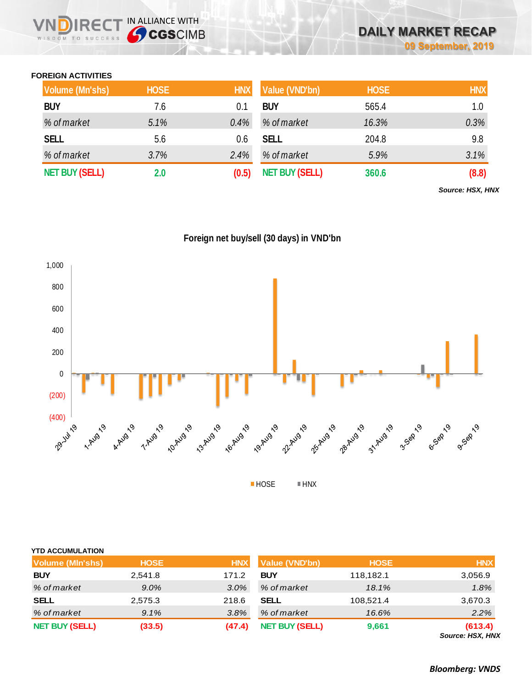## **FOREIGN ACTIVITIES**

WISDOM TO SUCCESS

 $R \in C$ 

IN ALLIANCE WITH

| Volume (Mn'shs)       | <b>HOSE</b> | <b>HNX</b> | Value (VND'bn)        | <b>HOSE</b> | <b>HNX</b> |
|-----------------------|-------------|------------|-----------------------|-------------|------------|
| <b>BUY</b>            | 7.6         | 0.1        | <b>BUY</b>            | 565.4       | 1.0        |
| % of market           | 5.1%        | 0.4%       | % of market           | 16.3%       | 0.3%       |
| <b>SELL</b>           | 5.6         | 0.6        | <b>SELL</b>           | 204.8       | 9.8        |
| % of market           | 3.7%        | 2.4%       | % of market           | 5.9%        | 3.1%       |
| <b>NET BUY (SELL)</b> | 2.0         | (0.5)      | <b>NET BUY (SELL)</b> | 360.6       | (8.8)      |

*Source: HSX, HNX*





| <b>YTD ACCUMULATION</b> |             |            |                       |             |                             |
|-------------------------|-------------|------------|-----------------------|-------------|-----------------------------|
| <b>Volume (MIn'shs)</b> | <b>HOSE</b> | <b>HNX</b> | Value (VND'bn)        | <b>HOSE</b> | <b>HNX</b>                  |
| <b>BUY</b>              | 2,541.8     | 171.2      | <b>BUY</b>            | 118,182.1   | 3,056.9                     |
| % of market             | $9.0\%$     | 3.0%       | % of market           | 18.1%       | 1.8%                        |
| <b>SELL</b>             | 2,575.3     | 218.6      | <b>SELL</b>           | 108,521.4   | 3,670.3                     |
| % of market             | 9.1%        | 3.8%       | % of market           | 16.6%       | 2.2%                        |
| <b>NET BUY (SELL)</b>   | (33.5)      | (47.4)     | <b>NET BUY (SELL)</b> | 9,661       | (613.4)<br>Source: HSX, HNX |

*Bloomberg: VNDS*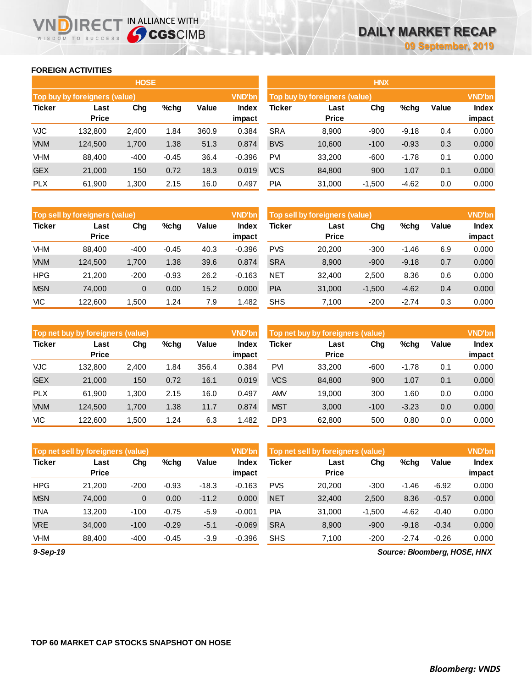### **FOREIGN ACTIVITIES**

WISDOM TO SUCCESS

**VNDIRECT IN ALLIANCE WITH** 

|               |                               | <b>HOSE</b> |         |       |                 | <b>HNX</b>                    |                      |               |         |       |                        |  |
|---------------|-------------------------------|-------------|---------|-------|-----------------|-------------------------------|----------------------|---------------|---------|-------|------------------------|--|
|               | Top buy by foreigners (value) |             |         |       | <b>VND'bn</b>   | Top buy by foreigners (value) |                      | <b>VND'bn</b> |         |       |                        |  |
| <b>Ticker</b> | Last<br><b>Price</b>          | Chg         | $%$ chg | Value | Index<br>impact | <b>Ticker</b>                 | Last<br><b>Price</b> | Chg           | %chg    | Value | <b>Index</b><br>impact |  |
| <b>VJC</b>    | 132,800                       | 2,400       | 1.84    | 360.9 | 0.384           | <b>SRA</b>                    | 8,900                | $-900$        | $-9.18$ | 0.4   | 0.000                  |  |
| <b>VNM</b>    | 124,500                       | 1,700       | 1.38    | 51.3  | 0.874           | <b>BVS</b>                    | 10,600               | $-100$        | $-0.93$ | 0.3   | 0.000                  |  |
| VHM           | 88.400                        | $-400$      | $-0.45$ | 36.4  | $-0.396$        | <b>PVI</b>                    | 33.200               | $-600$        | $-1.78$ | 0.1   | 0.000                  |  |
| <b>GEX</b>    | 21,000                        | 150         | 0.72    | 18.3  | 0.019           | <b>VCS</b>                    | 84,800               | 900           | 1.07    | 0.1   | 0.000                  |  |
| <b>PLX</b>    | 61,900                        | 1,300       | 2.15    | 16.0  | 0.497           | <b>PIA</b>                    | 31,000               | $-1,500$      | $-4.62$ | 0.0   | 0.000                  |  |

|               | Top sell by foreigners (value) |        |         |       | <b>VND'bn</b>   | Top sell by foreigners (value) |                      | <b>VND'bn</b> |         |       |                        |
|---------------|--------------------------------|--------|---------|-------|-----------------|--------------------------------|----------------------|---------------|---------|-------|------------------------|
| <b>Ticker</b> | Last<br><b>Price</b>           | Chg    | $%$ chg | Value | Index<br>impact | Ticker                         | Last<br><b>Price</b> | Chg           | %chg    | Value | <b>Index</b><br>impact |
| VHM           | 88.400                         | $-400$ | $-0.45$ | 40.3  | $-0.396$        | <b>PVS</b>                     | 20.200               | $-300$        | $-1.46$ | 6.9   | 0.000                  |
| <b>VNM</b>    | 124.500                        | 1.700  | 1.38    | 39.6  | 0.874           | <b>SRA</b>                     | 8,900                | $-900$        | $-9.18$ | 0.7   | 0.000                  |
| <b>HPG</b>    | 21.200                         | $-200$ | $-0.93$ | 26.2  | $-0.163$        | <b>NET</b>                     | 32.400               | 2,500         | 8.36    | 0.6   | 0.000                  |
| <b>MSN</b>    | 74.000                         | 0      | 0.00    | 15.2  | 0.000           | <b>PIA</b>                     | 31,000               | $-1,500$      | $-4.62$ | 0.4   | 0.000                  |
| <b>VIC</b>    | 122,600                        | .500   | 24. ا   | 7.9   | .482            | <b>SHS</b>                     | 7.100                | $-200$        | $-2.74$ | 0.3   | 0.000                  |

|               | Top net buy by foreigners (value) |       |         |       | <b>VND'bn</b>   | Top net buy by foreigners (value) |                      |        |         |       |                        |
|---------------|-----------------------------------|-------|---------|-------|-----------------|-----------------------------------|----------------------|--------|---------|-------|------------------------|
| <b>Ticker</b> | Last<br><b>Price</b>              | Chg   | $%$ chg | Value | Index<br>impact | Ticker                            | Last<br><b>Price</b> | Chg    | %chg    | Value | <b>Index</b><br>impact |
| <b>VJC</b>    | 132.800                           | 2,400 | 1.84    | 356.4 | 0.384           | <b>PVI</b>                        | 33,200               | $-600$ | $-1.78$ | 0.1   | 0.000                  |
| <b>GEX</b>    | 21,000                            | 150   | 0.72    | 16.1  | 0.019           | <b>VCS</b>                        | 84,800               | 900    | 1.07    | 0.1   | 0.000                  |
| <b>PLX</b>    | 61,900                            | 1,300 | 2.15    | 16.0  | 0.497           | <b>AMV</b>                        | 19,000               | 300    | 1.60    | 0.0   | 0.000                  |
| <b>VNM</b>    | 124,500                           | 1.700 | 1.38    | 11.7  | 0.874           | <b>MST</b>                        | 3,000                | $-100$ | $-3.23$ | 0.0   | 0.000                  |
| <b>VIC</b>    | 122.600                           | .500  | 1.24    | 6.3   | .482            | DP <sub>3</sub>                   | 62.800               | 500    | 0.80    | 0.0   | 0.000                  |

|               | Top net sell by foreigners (value) |        |         |         | <b>VND'bn</b>   | Top net sell by foreigners (value) |                      | <b>VND'bn</b> |         |         |                 |
|---------------|------------------------------------|--------|---------|---------|-----------------|------------------------------------|----------------------|---------------|---------|---------|-----------------|
| <b>Ticker</b> | Last<br><b>Price</b>               | Chg    | $%$ chg | Value   | Index<br>impact | Ticker                             | Last<br><b>Price</b> | Chg           | %chg    | Value   | Index<br>impact |
| <b>HPG</b>    | 21.200                             | $-200$ | $-0.93$ | $-18.3$ | $-0.163$        | <b>PVS</b>                         | 20,200               | $-300$        | $-1.46$ | $-6.92$ | 0.000           |
| <b>MSN</b>    | 74.000                             | 0      | 0.00    | $-11.2$ | 0.000           | <b>NET</b>                         | 32,400               | 2,500         | 8.36    | $-0.57$ | 0.000           |
| <b>TNA</b>    | 13.200                             | $-100$ | $-0.75$ | $-5.9$  | $-0.001$        | <b>PIA</b>                         | 31,000               | $-1,500$      | $-4.62$ | $-0.40$ | 0.000           |
| <b>VRE</b>    | 34.000                             | $-100$ | $-0.29$ | $-5.1$  | $-0.069$        | <b>SRA</b>                         | 8,900                | $-900$        | $-9.18$ | $-0.34$ | 0.000           |
| <b>VHM</b>    | 88.400                             | $-400$ | $-0.45$ | $-3.9$  | $-0.396$        | <b>SHS</b>                         | 7.100                | $-200$        | $-2.74$ | $-0.26$ | 0.000           |

*9-Sep-19*

*Source: Bloomberg, HOSE, HNX*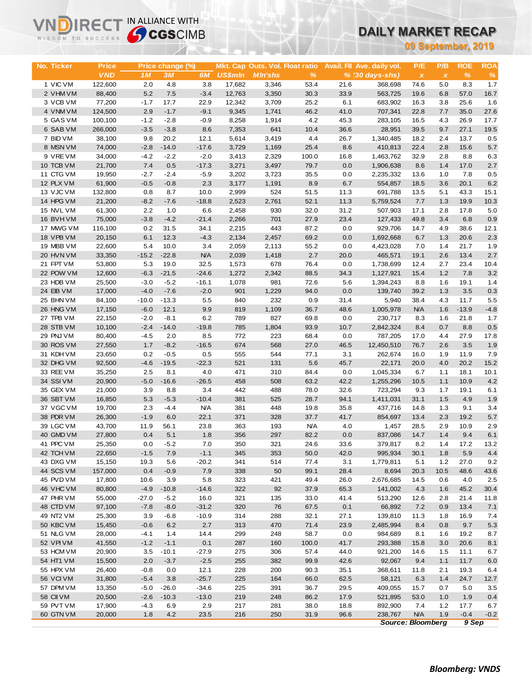| WISDOM TO SUCCESS      |                    | <b>Sy CGS</b> CIMB |                  |                    |                | UAILT MARNET RECAP              |               |              |                             |                          |              |              |              |
|------------------------|--------------------|--------------------|------------------|--------------------|----------------|---------------------------------|---------------|--------------|-----------------------------|--------------------------|--------------|--------------|--------------|
|                        |                    |                    |                  |                    |                |                                 |               |              | 09 September, 2019          |                          |              |              |              |
|                        |                    |                    |                  |                    |                |                                 |               |              |                             |                          |              |              |              |
| No. Ticker             | <b>Price</b>       |                    | Price change (%) |                    |                | Mkt. Cap Outs. Vol. Float ratio |               |              | Avail. Fil Ave. daily vol.  | P/E                      | P/B          | <b>ROE</b>   | <b>ROA</b>   |
|                        | <b>VND</b>         | 1M                 | <b>3M</b>        | 6M                 | <b>US\$mln</b> | <b>MIn'shs</b>                  | $\frac{9}{6}$ |              | $% (30 \, \text{days-shs})$ | $\pmb{\chi}$             | $\pmb{\chi}$ | %            | $\%$         |
| 1 VIC VM               | 122,600            | 2.0                | 4.8              | 3.8                | 17,682         | 3,346                           | 53.4          | 21.6         | 368,698                     | 74.6                     | 5.0          | 8.3          | 1.7          |
| 2 VHM VM               | 88,400             | 5.2                | 7.5              | $-3.4$             | 12,763         | 3,350                           | 30.3          | 33.9         | 563,725                     | 19.6                     | 6.8          | 57.0         | 16.7         |
| 3 VCB VM               | 77,200             | $-1.7$             | 17.7             | 22.9               | 12,342         | 3,709                           | 25.2          | 6.1          | 683,902                     | 16.3                     | 3.8          | 25.6         | 1.6          |
| 4 VNM VM               | 124,500            | 2.9                | $-1.7$           | $-9.1$             | 9,345          | 1,741                           | 46.2          | 41.0         | 707,341                     | 22.8                     | 7.7          | 35.0         | 27.6         |
| 5 GAS VM<br>6 SAB VM   | 100,100<br>266,000 | $-1.2$<br>$-3.5$   | $-2.8$<br>$-3.8$ | $-0.9$<br>8.6      | 8,258<br>7,353 | 1,914<br>641                    | 4.2<br>10.4   | 45.3<br>36.6 | 283,105<br>28,951           | 16.5<br>39.5             | 4.3<br>9.7   | 26.9<br>27.1 | 17.7<br>19.5 |
| 7 BID VM               | 38,100             | 9.8                | 20.2             | 12.1               | 5,614          | 3,419                           | 4.4           | 26.7         | 1,340,485                   | 18.2                     | 2.4          | 13.7         | 0.5          |
| 8 MSN VM               | 74,000             | $-2.8$             | $-14.0$          | $-17.6$            | 3,729          | 1,169                           | 25.4          | 8.6          | 410,813                     | 22.4                     | 2.8          | 15.6         | 5.7          |
| 9 VREVM                | 34,000             | $-4.2$             | $-2.2$           | $-2.0$             | 3,413          | 2,329                           | 100.0         | 16.8         | 1,463,762                   | 32.9                     | 2.8          | 8.8          | 6.3          |
| 10 TCB VM              | 21,700             | 7.4                | 0.5              | $-17.3$            | 3,271          | 3,497                           | 79.7          | 0.0          | 1,906,638                   | 8.6                      | 1.4          | 17.0         | 2.7          |
| 11 CTG VM              | 19,950             | $-2.7$             | $-2.4$           | $-5.9$             | 3,202          | 3,723                           | 35.5          | 0.0          | 2,235,332                   | 13.6                     | 1.0          | 7.8          | 0.5          |
| 12 PLX VM              | 61,900             | $-0.5$             | $-0.8$           | 2.3                | 3,177          | 1,191                           | 8.9           | 6.7          | 554,857                     | 18.5                     | 3.6          | 20.1         | 6.2          |
| 13 VJC VM              | 132,800            | 0.8                | 8.7              | 10.0               | 2,999          | 524                             | 51.5          | 11.3         | 691,788                     | 13.5                     | 5.1          | 43.3         | 15.1         |
| 14 HPG VM              | 21,200             | $-8.2$             | $-7.6$           | $-18.8$            | 2,523          | 2,761                           | 52.1          | 11.3         | 5,759,524                   | 7.7                      | 1.3          | 19.9         | 10.3         |
| 15 NVL VM              | 61,300             | 2.2                | 1.0              | 6.6                | 2,458          | 930                             | 32.0          | 31.2         | 507,903                     | 17.1                     | 2.8          | 17.8         | 5.0          |
| 16 BVHVM               | 75,000             | $-3.8$             | $-4.2$           | $-21.4$            | 2,266          | 701                             | 27.9          | 23.4         | 127,433                     | 49.8                     | 3.4          | 6.8          | 0.9          |
| 17 MWG VM              | 116,100            | 0.2                | 31.5             | 34.1               | 2,215          | 443                             | 87.2          | 0.0          | 929,706                     | 14.7                     | 4.9          | 38.6         | 12.1         |
| 18 VPB VM              | 20,150             | 6.1                | 12.3             | $-4.3$             | 2,134          | 2,457                           | 69.2          | 0.0          | 1,692,668                   | 6.7                      | 1.3          | 20.6         | 2.3          |
| 19 MBB VM              | 22,600             | 5.4                | 10.0             | 3.4                | 2,059          | 2,113                           | 55.2          | 0.0          | 4,423,028                   | 7.0                      | 1.4          | 21.7         | 1.9          |
| 20 HVN VM<br>21 FPT VM | 33,350<br>53,800   | $-15.2$<br>5.3     | $-22.8$<br>19.0  | <b>N/A</b><br>32.5 | 2,039<br>1,573 | 1,418<br>678                    | 2.7<br>76.4   | 20.0<br>0.0  | 465,571                     | 19.1<br>12.4             | 2.6<br>2.7   | 13.4<br>23.4 | 2.7<br>10.4  |
| 22 POW VM              | 12,600             | $-6.3$             | $-21.5$          | $-24.6$            | 1,272          | 2,342                           | 88.5          | 34.3         | 1,738,699<br>1,127,921      | 15.4                     | 1.2          | 7.8          | 3.2          |
| 23 HDB VM              | 25,500             | $-3.0$             | $-5.2$           | $-16.1$            | 1,078          | 981                             | 72.6          | 5.6          | 1,394,243                   | 8.8                      | 1.6          | 19.1         | 1.4          |
| 24 EIB VM              | 17,000             | $-4.0$             | $-7.6$           | $-2.0$             | 901            | 1,229                           | 94.0          | 0.0          | 139,740                     | 39.2                     | 1.3          | 3.5          | 0.3          |
| 25 BHN VM              | 84,100             | $-10.0$            | $-13.3$          | 5.5                | 840            | 232                             | 0.9           | 31.4         | 5,940                       | 38.4                     | 4.3          | 11.7         | 5.5          |
| 26 HNG VM              | 17,150             | $-6.0$             | 12.1             | 9.9                | 819            | 1,109                           | 36.7          | 48.6         | 1,005,978                   | <b>N/A</b>               | 1.6          | $-13.9$      | $-4.8$       |
| 27 TPB VM              | 22,150             | $-2.0$             | $-8.1$           | 6.2                | 789            | 827                             | 69.8          | 0.0          | 230,717                     | 8.3                      | 1.6          | 21.8         | 1.7          |
| 28 STB VM              | 10,100             | $-2.4$             | $-14.0$          | $-19.8$            | 785            | 1,804                           | 93.9          | 10.7         | 2,842,324                   | 8.4                      | 0.7          | 8.8          | 0.5          |
| 29 PNJ VM              | 80,400             | $-4.5$             | 2.0              | 8.5                | 772            | 223                             | 68.4          | 0.0          | 787,205                     | 17.0                     | 4.4          | 27.9         | 17.8         |
| 30 ROS VM              | 27,550             | 1.7                | $-8.2$           | $-16.5$            | 674            | 568                             | 27.0          | 46.5         | 12,450,510                  | 76.7                     | 2.6          | 3.5          | 1.9          |
| 31 KDH VM              | 23,650             | 0.2                | $-0.5$           | 0.5                | 555            | 544                             | 77.1          | 3.1          | 262,674                     | 16.0                     | 1.9          | 11.9         | 7.9          |
| 32 DHG VM              | 92,500             | $-4.6$             | $-19.5$          | $-22.3$            | 521            | 131                             | 5.6           | 45.7         | 22,171                      | 20.0                     | 4.0          | 20.2         | 15.2         |
| 33 REE VM              | 35,250             | 2.5                | 8.1              | 4.0                | 471            | 310                             | 84.4          | 0.0          | 1,045,334                   | 6.7                      | 1.1          | 18.1         | 10.1         |
| 34 SSIVM               | 20,900             | $-5.0$             | $-16.6$          | $-26.5$            | 458            | 508                             | 63.2          | 42.2         | 1,255,296                   | 10.5                     | 1.1          | 10.9         | 4.2          |
| 35 GEX VM<br>36 SBT VM | 21,000<br>16,850   | 3.9<br>5.3         | 8.8<br>$-5.3$    | 3.4<br>$-10.4$     | 442<br>381     | 488<br>525                      | 78.0<br>28.7  | 32.6<br>94.1 | 723,294<br>1,411,031        | 9.3<br>31.1              | 1.7<br>1.5   | 19.1<br>4.9  | 6.1<br>1.9   |
| 37 VGC VM              | 19,700             | 2.3                | $-4.4$           | <b>N/A</b>         | 381            | 448                             | 19.8          | 35.8         | 437,716                     | 14.8                     | 1.3          | 9.1          | 3.4          |
| 38 PDR VM              | 26,300             | $-1.9$             | 6.0              | 22.1               | 371            | 328                             | 37.7          | 41.7         | 854,697                     | 13.4                     | 2.3          | 19.2         | 5.7          |
| 39 LGC VM              | 43,700             | 11.9               | 56.1             | 23.8               | 363            | 193                             | <b>N/A</b>    | 4.0          | 1,457                       | 28.5                     | 2.9          | 10.9         | 2.9          |
| 40 GMD VM              | 27,800             | 0.4                | 5.1              | 1.8                | 356            | 297                             | 82.2          | 0.0          | 837,086                     | 14.7                     | 1.4          | 9.4          | 6.1          |
| 41 PPC VM              | 25,350             | 0.0                | $-5.2$           | 7.0                | 350            | 321                             | 24.6          | 33.6         | 379,817                     | 8.2                      | 1.4          | 17.2         | 13.2         |
| 42 TCH VM              | 22,650             | $-1.5$             | 7.9              | $-1.1$             | 345            | 353                             | 50.0          | 42.0         | 995,934                     | 30.1                     | 1.8          | 5.9          | 4.4          |
| 43 DXG VM              | 15,150             | 19.3               | 5.6              | $-20.2$            | 341            | 514                             | 77.4          | 3.1          | 1,779,811                   | 5.1                      | $1.2$        | 27.0         | 9.2          |
| 44 SCS VM              | 157,000            | 0.4                | $-0.9$           | 7.9                | 338            | 50                              | 99.1          | 28.4         | 8,694                       | 20.3                     | 10.5         | 48.6         | 43.6         |
| 45 PVD VM              | 17,800             | 10.6               | 3.9              | 5.8                | 323            | 421                             | 49.4          | 26.0         | 2,676,685                   | 14.5                     | 0.6          | 4.0          | 2.5          |
| 46 VHC VM              | 80,800             | $-4.9$             | $-10.8$          | $-14.6$            | 322            | 92                              | 37.9          | 65.3         | 141,002                     | 4.3                      | 1.6          | 45.2         | 30.4         |
| 47 PHR VM              | 55,000             | $-27.0$            | $-5.2$           | 16.0               | 321            | 135                             | 33.0          | 41.4         | 513,290                     | 12.6                     | 2.8          | 21.4         | 11.8         |
| 48 CTD VM              | 97,100             | $-7.8$             | $-8.0$           | $-31.2$            | 320            | 76                              | 67.5          | 0.1          | 66,892                      | 7.2                      | 0.9          | 13.4         | 7.1          |
| 49 NT2 VM              | 25,300             | 3.9                | $-6.8$           | $-10.9$            | 314            | 288                             | 32.1          | 27.1         | 139,810                     | 11.3                     | 1.8          | 16.9         | 7.4          |
| 50 KBC VM<br>51 NLG VM | 15,450<br>28,000   | $-0.6$<br>$-4.1$   | 6.2              | 2.7<br>14.4        | 313<br>299     | 470                             | 71.4<br>58.7  | 23.9<br>0.0  | 2,485,994<br>984,689        | 8.4                      | 0.8          | 9.7<br>19.2  | 5.3          |
| 52 VPIVM               | 41,550             | $-1.2$             | 1.4<br>$-1.1$    | 0.1                | 287            | 248<br>160                      | 100.0         | 41.7         | 293,388                     | 8.1<br>15.8              | 1.6<br>3.0   | 20.6         | 8.7<br>8.1   |
| 53 HCM VM              | 20,900             | 3.5                | $-10.1$          | $-27.9$            | 275            | 306                             | 57.4          | 44.0         | 921,200                     | 14.6                     | $1.5$        | 11.1         | 6.7          |
| 54 HT1 VM              | 15,500             | 2.0                | $-3.7$           | $-2.5$             | 255            | 382                             | 99.9          | 42.6         | 92,067                      | 9.4                      | 1.1          | 11.7         | 6.0          |
| 55 HPX VM              | 26,400             | $-0.8$             | 0.0              | 12.1               | 228            | 200                             | 90.3          | 35.1         | 368,611                     | 11.8                     | 2.1          | 19.3         | 6.4          |
| 56 VCIVM               | 31,800             | $-5.4$             | 3.8              | $-25.7$            | 225            | 164                             | 66.0          | 62.5         | 58,121                      | 6.3                      | 1.4          | 24.7         | 12.7         |
| 57 DPM VM              | 13,350             | $-5.0$             | $-26.0$          | $-34.6$            | 225            | 391                             | 36.7          | 29.5         | 409,055                     | 15.7                     | 0.7          | 5.0          | 3.5          |
| 58 CII VM              | 20,500             | $-2.6$             | $-10.3$          | $-13.0$            | 219            | 248                             | 86.2          | 17.9         | 521,895                     | 53.0                     | 1.0          | 1.9          | 0.4          |
| 59 PVT VM              | 17,900             | $-4.3$             | 6.9              | 2.9                | 217            | 281                             | 38.0          | 18.8         | 892,900                     | 7.4                      | $1.2$        | 17.7         | 6.7          |
| 60 GTN VM              | 20,000             | 1.8                | 4.2              | 23.5               | 216            | 250                             | 31.9          | 96.6         | 238,767                     | <b>N/A</b>               | 1.9          | $-0.4$       | $-0.2$       |
|                        |                    |                    |                  |                    |                |                                 |               |              |                             | <b>Source: Bloomberg</b> |              | 9 Sep        |              |

**VNDIRECT IN ALLIANCE WITH**